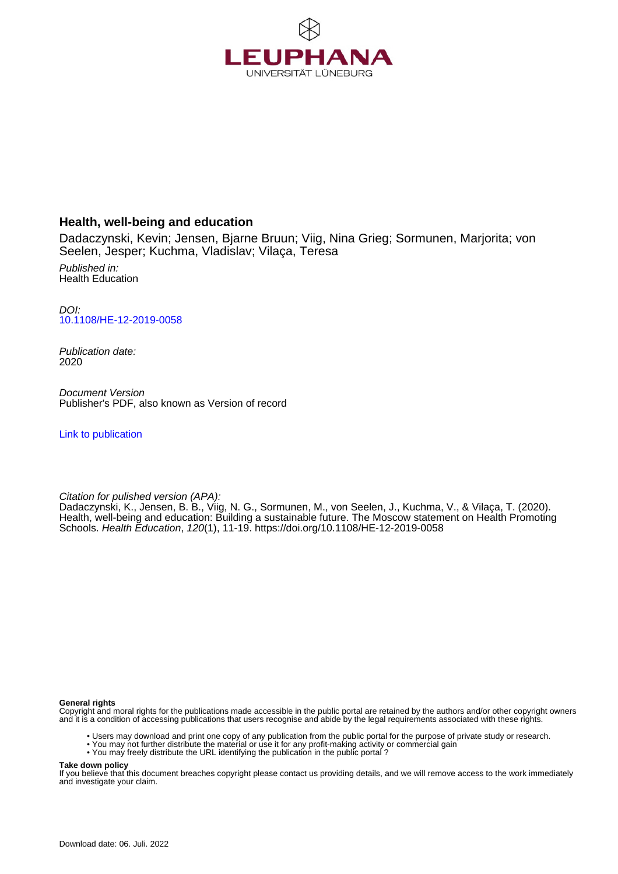

### **Health, well-being and education**

Dadaczynski, Kevin; Jensen, Bjarne Bruun; Viig, Nina Grieg; Sormunen, Marjorita; von Seelen, Jesper; Kuchma, Vladislav; Vilaça, Teresa

Published in: Health Education

DOI: [10.1108/HE-12-2019-0058](https://doi.org/10.1108/HE-12-2019-0058)

Publication date: 2020

Document Version Publisher's PDF, also known as Version of record

[Link to publication](http://fox.leuphana.de/portal/en/publications/health-wellbeing-and-education(c382e91d-97be-48fd-bcea-3515af21043e).html)

Citation for pulished version (APA):

Dadaczynski, K., Jensen, B. B., Viig, N. G., Sormunen, M., von Seelen, J., Kuchma, V., & Vilaça, T. (2020). [Health, well-being and education: Building a sustainable future. The Moscow statement on Health Promoting](http://fox.leuphana.de/portal/de/publications/health-wellbeing-and-education(c382e91d-97be-48fd-bcea-3515af21043e).html) [Schools.](http://fox.leuphana.de/portal/de/publications/health-wellbeing-and-education(c382e91d-97be-48fd-bcea-3515af21043e).html) [Health Education](http://fox.leuphana.de/portal/de/journals/health-education(848c9da7-84a2-4818-a479-5053f6b912e0)/publications.html), 120(1), 11-19.<https://doi.org/10.1108/HE-12-2019-0058>

**General rights**

Copyright and moral rights for the publications made accessible in the public portal are retained by the authors and/or other copyright owners and it is a condition of accessing publications that users recognise and abide by the legal requirements associated with these rights.

- Users may download and print one copy of any publication from the public portal for the purpose of private study or research.
- You may not further distribute the material or use it for any profit-making activity or commercial gain
- You may freely distribute the URL identifying the publication in the public portal ?

**Take down policy**

If you believe that this document breaches copyright please contact us providing details, and we will remove access to the work immediately and investigate your claim.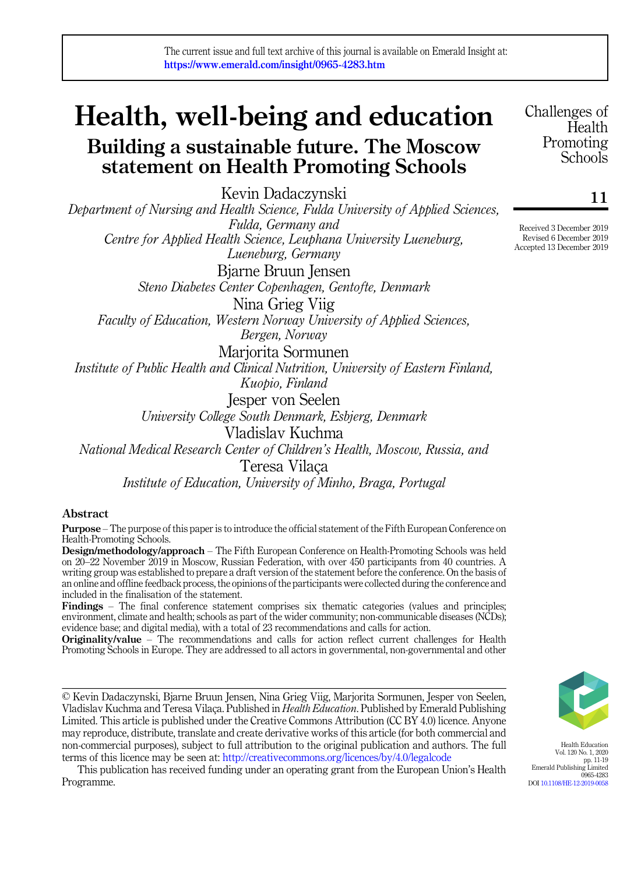# Health, well-being and education

## Building a sustainable future. The Moscow statement on Health Promoting Schools

Kevin Dadaczynski Department of Nursing and Health Science, Fulda University of Applied Sciences, Fulda, Germany and Centre for Applied Health Science, Leuphana University Lueneburg, Lueneburg, Germany Bjarne Bruun Jensen Steno Diabetes Center Copenhagen, Gentofte, Denmark Nina Grieg Viig Faculty of Education, Western Norway University of Applied Sciences, Bergen, Norway Marjorita Sormunen Institute of Public Health and Clinical Nutrition, University of Eastern Finland, Kuopio, Finland Jesper von Seelen University College South Denmark, Esbjerg, Denmark Vladislav Kuchma National Medical Research Center of Children's Health, Moscow, Russia, and Teresa Vilaça Institute of Education, University of Minho, Braga, Portugal

#### Abstract

Purpose – The purpose of this paper is to introduce the official statement of the Fifth European Conference on Health-Promoting Schools.

Design/methodology/approach – The Fifth European Conference on Health-Promoting Schools was held on 20–22 November 2019 in Moscow, Russian Federation, with over 450 participants from 40 countries. A writing group was established to prepare a draft version of the statement before the conference. On the basis of an online and offline feedback process, the opinions of the participants were collected during the conference and included in the finalisation of the statement.

Findings – The final conference statement comprises six thematic categories (values and principles; environment, climate and health; schools as part of the wider community; non-communicable diseases (NCDs); evidence base; and digital media), with a total of 23 recommendations and calls for action.

Originality/value – The recommendations and calls for action reflect current challenges for Health Promoting Schools in Europe. They are addressed to all actors in governmental, non-governmental and other

© Kevin Dadaczynski, Bjarne Bruun Jensen, Nina Grieg Viig, Marjorita Sormunen, Jesper von Seelen, Vladislav Kuchma and Teresa Vilaça. Published in Health Education. Published by Emerald Publishing Limited. This article is published under the Creative Commons Attribution (CC BY 4.0) licence. Anyone may reproduce, distribute, translate and create derivative works of this article (for both commercial and non-commercial purposes), subject to full attribution to the original publication and authors. The full terms of this licence may be seen at: <http://creativecommons.org/licences/by/4.0/legalcode>

This publication has received funding under an operating grant from the European Union's Health Programme.

Challenges of **Health** Promoting **Schools** 

11

Received 3 December 2019 Revised 6 December 2019 Accepted 13 December 2019



Health Education Vol. 120 No. 1, 2020 pp. 11-19 Emerald Publishing Limited 0965-4283 DOI [10.1108/HE-12-2019-0058](https://doi.org/10.1108/HE-12-2019-0058)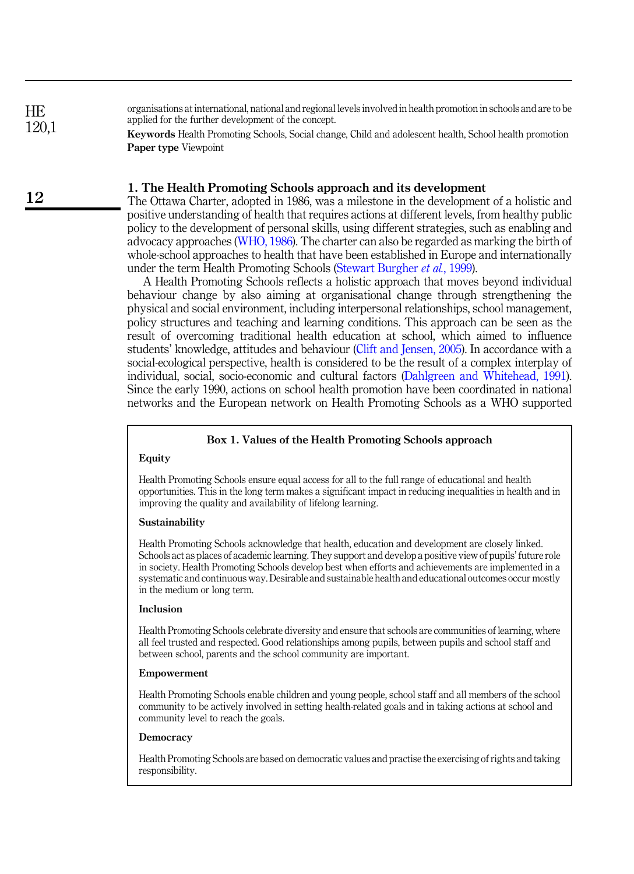organisations at international, national and regional levels involved in health promotion in schools and are to be applied for the further development of the concept.

> Keywords Health Promoting Schools, Social change, Child and adolescent health, School health promotion Paper type Viewpoint

#### 1. The Health Promoting Schools approach and its development

The Ottawa Charter, adopted in 1986, was a milestone in the development of a holistic and positive understanding of health that requires actions at different levels, from healthy public policy to the development of personal skills, using different strategies, such as enabling and advocacy approaches ([WHO, 1986\)](#page-9-0). The charter can also be regarded as marking the birth of whole-school approaches to health that have been established in Europe and internationally under the term Health Promoting Schools [\(Stewart Burgher](#page-9-1) et al., 1999).

A Health Promoting Schools reflects a holistic approach that moves beyond individual behaviour change by also aiming at organisational change through strengthening the physical and social environment, including interpersonal relationships, school management, policy structures and teaching and learning conditions. This approach can be seen as the result of overcoming traditional health education at school, which aimed to influence students' knowledge, attitudes and behaviour [\(Clift and Jensen, 2005](#page-8-0)). In accordance with a social-ecological perspective, health is considered to be the result of a complex interplay of individual, social, socio-economic and cultural factors ([Dahlgreen and Whitehead, 1991\)](#page-8-1). Since the early 1990, actions on school health promotion have been coordinated in national networks and the European network on Health Promoting Schools as a WHO supported

#### Box 1. Values of the Health Promoting Schools approach

#### Equity

Health Promoting Schools ensure equal access for all to the full range of educational and health opportunities. This in the long term makes a significant impact in reducing inequalities in health and in improving the quality and availability of lifelong learning.

#### Sustainability

Health Promoting Schools acknowledge that health, education and development are closely linked. Schools act as places of academic learning. They support and develop a positive view of pupils' future role in society. Health Promoting Schools develop best when efforts and achievements are implemented in a systematic and continuous way. Desirable and sustainable health and educational outcomes occur mostly in the medium or long term.

#### Inclusion

Health Promoting Schools celebrate diversity and ensure that schools are communities of learning, where all feel trusted and respected. Good relationships among pupils, between pupils and school staff and between school, parents and the school community are important.

#### Empowerment

Health Promoting Schools enable children and young people, school staff and all members of the school community to be actively involved in setting health-related goals and in taking actions at school and community level to reach the goals.

#### **Democracy**

Health Promoting Schools are based on democratic values and practise the exercising of rights and taking responsibility.

HE 120,1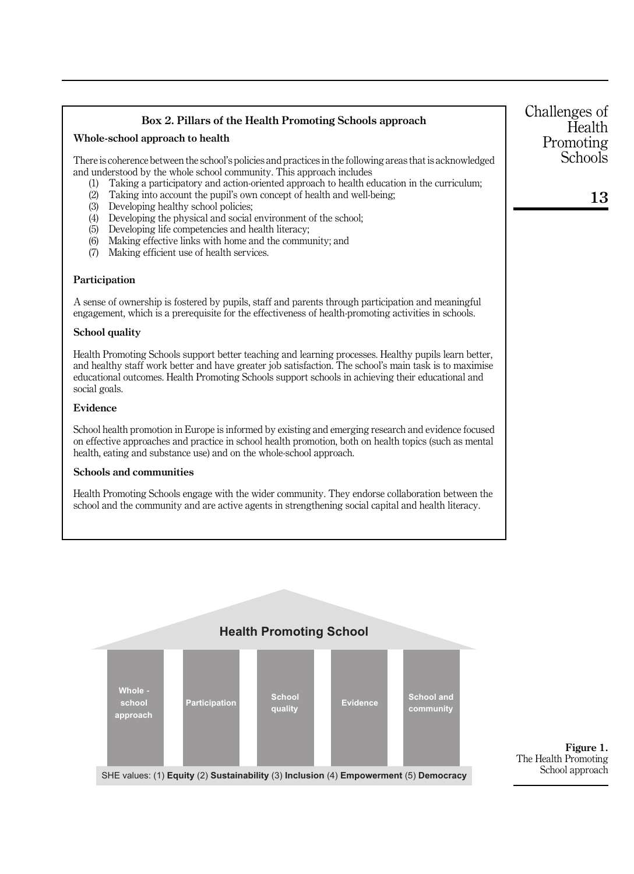<span id="page-3-0"></span>

| Box 2. Pillars of the Health Promoting Schools approach                                                                                                                                                                                                                                                                               | Challenges of<br>Health |
|---------------------------------------------------------------------------------------------------------------------------------------------------------------------------------------------------------------------------------------------------------------------------------------------------------------------------------------|-------------------------|
| Whole-school approach to health                                                                                                                                                                                                                                                                                                       | Promoting               |
| There is coherence between the school's policies and practices in the following areas that is acknowledged<br>and understood by the whole school community. This approach includes                                                                                                                                                    | Schools                 |
| Taking a participatory and action-oriented approach to health education in the curriculum;<br>(1)<br>(2)<br>Taking into account the pupil's own concept of health and well-being;                                                                                                                                                     | 13                      |
| (3)<br>Developing healthy school policies;<br>Developing the physical and social environment of the school;<br>(4)                                                                                                                                                                                                                    |                         |
| Developing life competencies and health literacy;<br>(5)                                                                                                                                                                                                                                                                              |                         |
| (6)<br>Making effective links with home and the community; and<br>Making efficient use of health services.<br>(7)                                                                                                                                                                                                                     |                         |
| Participation                                                                                                                                                                                                                                                                                                                         |                         |
| A sense of ownership is fostered by pupils, staff and parents through participation and meaningful<br>engagement, which is a prerequisite for the effectiveness of health-promoting activities in schools.                                                                                                                            |                         |
| <b>School quality</b>                                                                                                                                                                                                                                                                                                                 |                         |
| Health Promoting Schools support better teaching and learning processes. Healthy pupils learn better,<br>and healthy staff work better and have greater job satisfaction. The school's main task is to maximise<br>educational outcomes. Health Promoting Schools support schools in achieving their educational and<br>social goals. |                         |
| Evidence                                                                                                                                                                                                                                                                                                                              |                         |
| School health promotion in Europe is informed by existing and emerging research and evidence focused<br>on effective approaches and practice in school health promotion, both on health topics (such as mental<br>health, eating and substance use) and on the whole-school approach.                                                 |                         |
| <b>Schools and communities</b>                                                                                                                                                                                                                                                                                                        |                         |
| Health Promoting Schools engage with the wider community. They endorse collaboration between the<br>school and the community and are active agents in strengthening social capital and health literacy.                                                                                                                               |                         |
|                                                                                                                                                                                                                                                                                                                                       |                         |



Figure 1. The Health Promoting School approach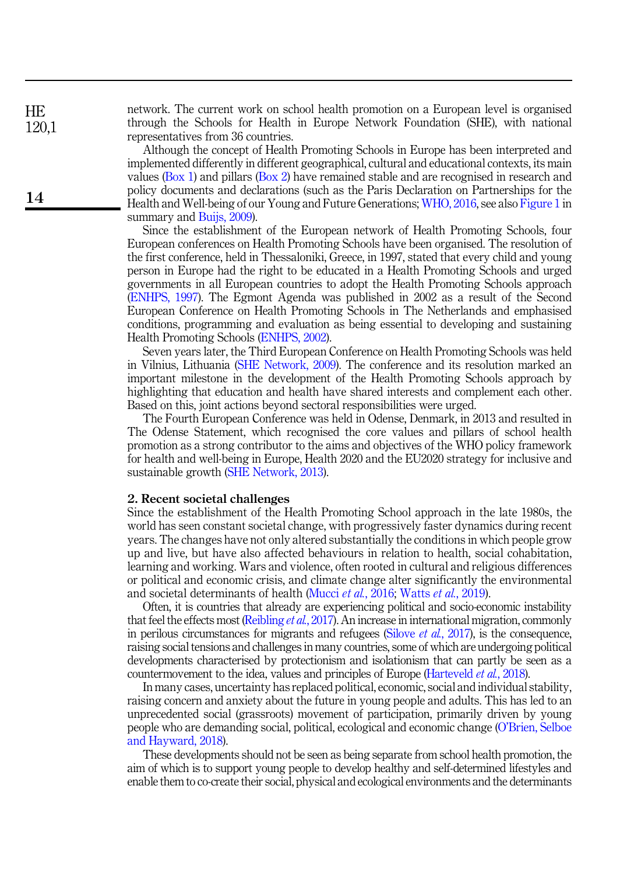network. The current work on school health promotion on a European level is organised through the Schools for Health in Europe Network Foundation (SHE), with national representatives from 36 countries.

Although the concept of Health Promoting Schools in Europe has been interpreted and implemented differently in different geographical, cultural and educational contexts, its main values (Box 1) and pillars (Box 2) have remained stable and are recognised in research and policy documents and declarations (such as the Paris Declaration on Partnerships for the Health and Well-being of our Young and Future Generations; [WHO, 2016,](#page-9-2) see also [Figure 1](#page-3-0) in summary and [Buijs, 2009](#page-8-2)).

Since the establishment of the European network of Health Promoting Schools, four European conferences on Health Promoting Schools have been organised. The resolution of the first conference, held in Thessaloniki, Greece, in 1997, stated that every child and young person in Europe had the right to be educated in a Health Promoting Schools and urged governments in all European countries to adopt the Health Promoting Schools approach ([ENHPS, 1997](#page-9-3)). The Egmont Agenda was published in 2002 as a result of the Second European Conference on Health Promoting Schools in The Netherlands and emphasised conditions, programming and evaluation as being essential to developing and sustaining Health Promoting Schools [\(ENHPS, 2002\)](#page-8-3).

Seven years later, the Third European Conference on Health Promoting Schools was held in Vilnius, Lithuania [\(SHE Network, 2009](#page-9-4)). The conference and its resolution marked an important milestone in the development of the Health Promoting Schools approach by highlighting that education and health have shared interests and complement each other. Based on this, joint actions beyond sectoral responsibilities were urged.

The Fourth European Conference was held in Odense, Denmark, in 2013 and resulted in The Odense Statement, which recognised the core values and pillars of school health promotion as a strong contributor to the aims and objectives of the WHO policy framework for health and well-being in Europe, Health 2020 and the EU2020 strategy for inclusive and sustainable growth [\(SHE Network, 2013\)](#page-9-5).

#### 2. Recent societal challenges

Since the establishment of the Health Promoting School approach in the late 1980s, the world has seen constant societal change, with progressively faster dynamics during recent years. The changes have not only altered substantially the conditions in which people grow up and live, but have also affected behaviours in relation to health, social cohabitation, learning and working. Wars and violence, often rooted in cultural and religious differences or political and economic crisis, and climate change alter significantly the environmental and societal determinants of health ([Mucci](#page-9-6) et al., 2016; [Watts](#page-9-7) et al., 2019).

Often, it is countries that already are experiencing political and socio-economic instability that feel the effects most ([Reibling](#page-9-8) *et al.*, 2017). An increase in international migration, commonly in perilous circumstances for migrants and refugees (Silove *et al.*[, 2017\)](#page-9-9), is the consequence, raising social tensions and challenges in many countries, some of which are undergoing political developments characterised by protectionism and isolationism that can partly be seen as a countermovement to the idea, values and principles of Europe [\(Harteveld](#page-9-10) *et al.*, 2018).

In many cases, uncertainty has replaced political, economic, social and individual stability, raising concern and anxiety about the future in young people and adults. This has led to an unprecedented social (grassroots) movement of participation, primarily driven by young people who are demanding social, political, ecological and economic change (O'[Brien, Selboe](#page-9-11) [and Hayward, 2018](#page-9-11)).

These developments should not be seen as being separate from school health promotion, the aim of which is to support young people to develop healthy and self-determined lifestyles and enable them to co-create their social, physical and ecological environments and the determinants

14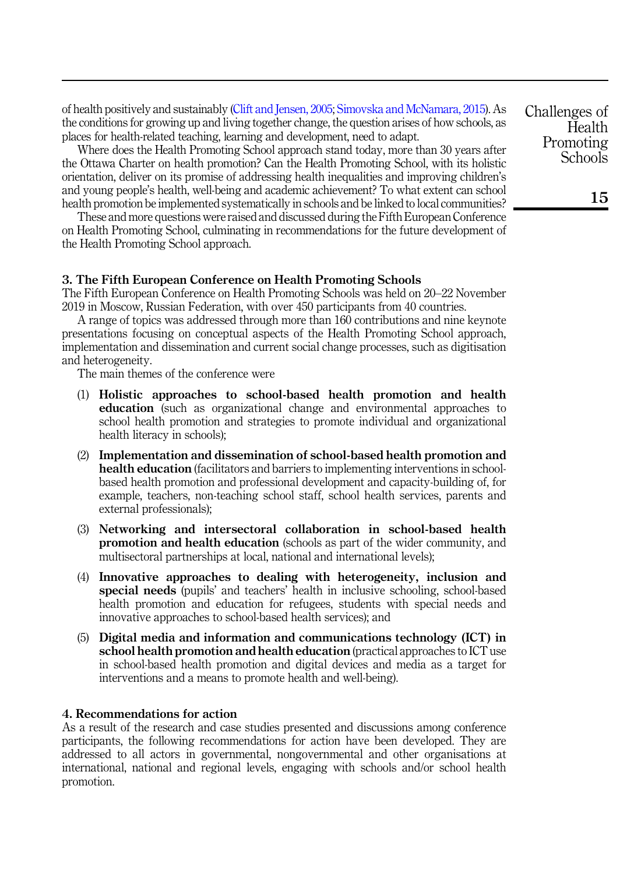of health positively and sustainably [\(Clift and Jensen, 2005;](#page-8-0) [Simovska and McNamara, 2015\)](#page-9-12). As the conditions for growing up and living together change, the question arises of how schools, as places for health-related teaching, learning and development, need to adapt.

Where does the Health Promoting School approach stand today, more than 30 years after the Ottawa Charter on health promotion? Can the Health Promoting School, with its holistic orientation, deliver on its promise of addressing health inequalities and improving children's and young people's health, well-being and academic achievement? To what extent can school health promotion be implemented systematically in schools and be linked to local communities?

These and more questions were raised and discussed during the Fifth European Conference on Health Promoting School, culminating in recommendations for the future development of the Health Promoting School approach.

#### 3. The Fifth European Conference on Health Promoting Schools

The Fifth European Conference on Health Promoting Schools was held on 20–22 November 2019 in Moscow, Russian Federation, with over 450 participants from 40 countries.

A range of topics was addressed through more than 160 contributions and nine keynote presentations focusing on conceptual aspects of the Health Promoting School approach, implementation and dissemination and current social change processes, such as digitisation and heterogeneity.

The main themes of the conference were

- (1) Holistic approaches to school-based health promotion and health education (such as organizational change and environmental approaches to school health promotion and strategies to promote individual and organizational health literacy in schools);
- (2) Implementation and dissemination of school-based health promotion and health education (facilitators and barriers to implementing interventions in schoolbased health promotion and professional development and capacity-building of, for example, teachers, non-teaching school staff, school health services, parents and external professionals);
- (3) Networking and intersectoral collaboration in school-based health promotion and health education (schools as part of the wider community, and multisectoral partnerships at local, national and international levels);
- (4) Innovative approaches to dealing with heterogeneity, inclusion and special needs (pupils' and teachers' health in inclusive schooling, school-based health promotion and education for refugees, students with special needs and innovative approaches to school-based health services); and
- (5) Digital media and information and communications technology (ICT) in school health promotion and health education (practical approaches to ICT use in school-based health promotion and digital devices and media as a target for interventions and a means to promote health and well-being).

#### 4. Recommendations for action

As a result of the research and case studies presented and discussions among conference participants, the following recommendations for action have been developed. They are addressed to all actors in governmental, nongovernmental and other organisations at international, national and regional levels, engaging with schools and/or school health promotion.

Challenges of **Health** Promoting **Schools**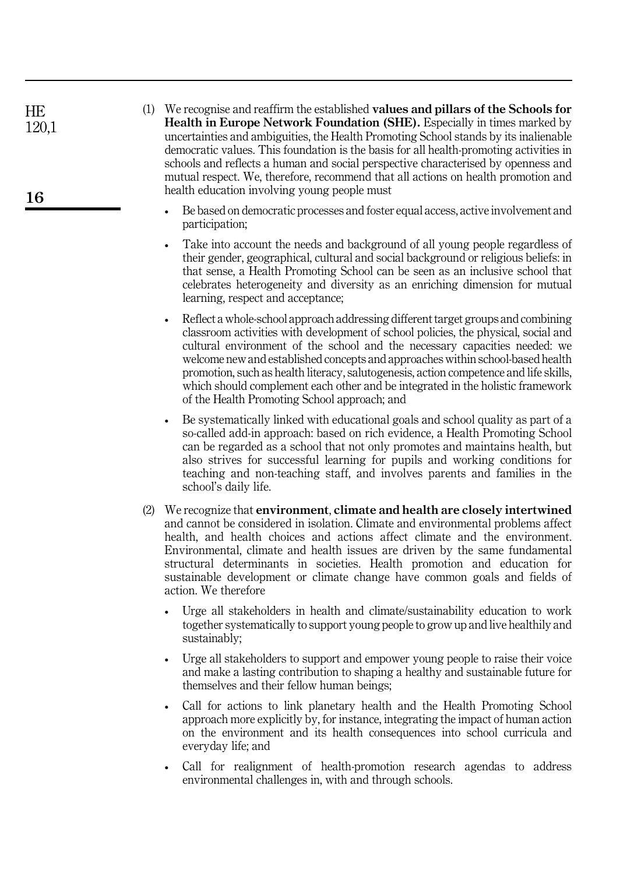| HE.   |  |
|-------|--|
| 120.1 |  |

16

(1) We recognise and reaffirm the established values and pillars of the Schools for Health in Europe Network Foundation (SHE). Especially in times marked by uncertainties and ambiguities, the Health Promoting School stands by its inalienable democratic values. This foundation is the basis for all health-promoting activities in schools and reflects a human and social perspective characterised by openness and mutual respect. We, therefore, recommend that all actions on health promotion and health education involving young people must

- Be based on democratic processes and foster equal access, active involvement and participation;
- Take into account the needs and background of all young people regardless of their gender, geographical, cultural and social background or religious beliefs: in that sense, a Health Promoting School can be seen as an inclusive school that celebrates heterogeneity and diversity as an enriching dimension for mutual learning, respect and acceptance;
- Reflect a whole-school approach addressing different target groups and combining classroom activities with development of school policies, the physical, social and cultural environment of the school and the necessary capacities needed: we welcome new and established concepts and approaches within school-based health promotion, such as health literacy, salutogenesis, action competence and life skills, which should complement each other and be integrated in the holistic framework of the Health Promoting School approach; and
- Be systematically linked with educational goals and school quality as part of a so-called add-in approach: based on rich evidence, a Health Promoting School can be regarded as a school that not only promotes and maintains health, but also strives for successful learning for pupils and working conditions for teaching and non-teaching staff, and involves parents and families in the school's daily life.
- (2) We recognize that environment, climate and health are closely intertwined and cannot be considered in isolation. Climate and environmental problems affect health, and health choices and actions affect climate and the environment. Environmental, climate and health issues are driven by the same fundamental structural determinants in societies. Health promotion and education for sustainable development or climate change have common goals and fields of action. We therefore
	- Urge all stakeholders in health and climate/sustainability education to work together systematically to support young people to grow up and live healthily and sustainably;
	- Urge all stakeholders to support and empower young people to raise their voice and make a lasting contribution to shaping a healthy and sustainable future for themselves and their fellow human beings;
	- Call for actions to link planetary health and the Health Promoting School approach more explicitly by, for instance, integrating the impact of human action on the environment and its health consequences into school curricula and everyday life; and
	- Call for realignment of health-promotion research agendas to address environmental challenges in, with and through schools.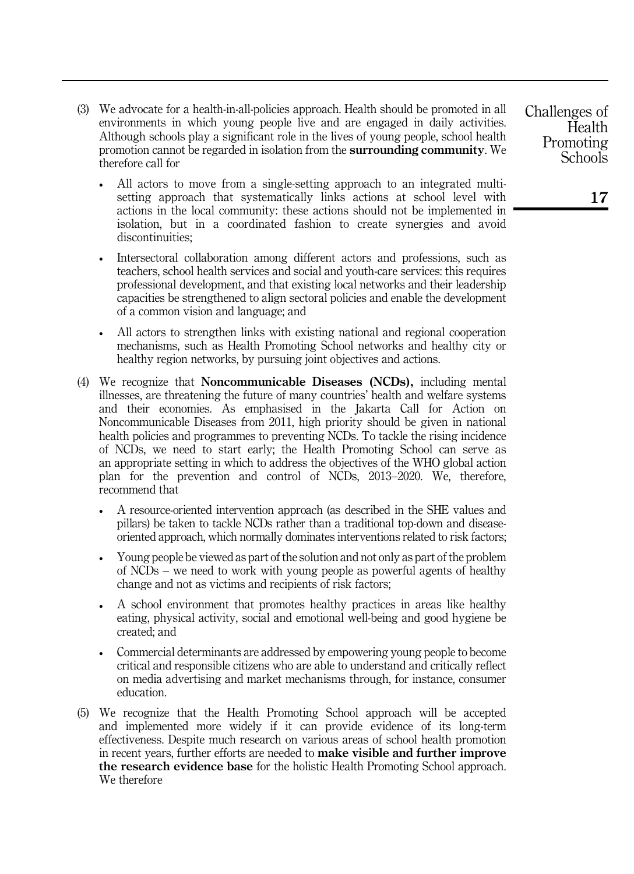- (3) We advocate for a health-in-all-policies approach. Health should be promoted in all environments in which young people live and are engaged in daily activities. Although schools play a significant role in the lives of young people, school health promotion cannot be regarded in isolation from the surrounding community. We therefore call for
	- All actors to move from a single-setting approach to an integrated multisetting approach that systematically links actions at school level with actions in the local community: these actions should not be implemented in isolation, but in a coordinated fashion to create synergies and avoid discontinuities;
	- Intersectoral collaboration among different actors and professions, such as teachers, school health services and social and youth-care services: this requires professional development, and that existing local networks and their leadership capacities be strengthened to align sectoral policies and enable the development of a common vision and language; and
	- All actors to strengthen links with existing national and regional cooperation mechanisms, such as Health Promoting School networks and healthy city or healthy region networks, by pursuing joint objectives and actions.
- (4) We recognize that Noncommunicable Diseases (NCDs), including mental illnesses, are threatening the future of many countries' health and welfare systems and their economies. As emphasised in the Jakarta Call for Action on Noncommunicable Diseases from 2011, high priority should be given in national health policies and programmes to preventing NCDs. To tackle the rising incidence of NCDs, we need to start early; the Health Promoting School can serve as an appropriate setting in which to address the objectives of the WHO global action plan for the prevention and control of NCDs, 2013–2020. We, therefore, recommend that
	- A resource-oriented intervention approach (as described in the SHE values and pillars) be taken to tackle NCDs rather than a traditional top-down and diseaseoriented approach, which normally dominates interventions related to risk factors;
	- Young people be viewed as part of the solution and not only as part of the problem of NCDs – we need to work with young people as powerful agents of healthy change and not as victims and recipients of risk factors;
	- A school environment that promotes healthy practices in areas like healthy eating, physical activity, social and emotional well-being and good hygiene be created; and
	- Commercial determinants are addressed by empowering young people to become critical and responsible citizens who are able to understand and critically reflect on media advertising and market mechanisms through, for instance, consumer education.
- (5) We recognize that the Health Promoting School approach will be accepted and implemented more widely if it can provide evidence of its long-term effectiveness. Despite much research on various areas of school health promotion in recent years, further efforts are needed to make visible and further improve the research evidence base for the holistic Health Promoting School approach. We therefore

Challenges of **Health** Promoting **Schools**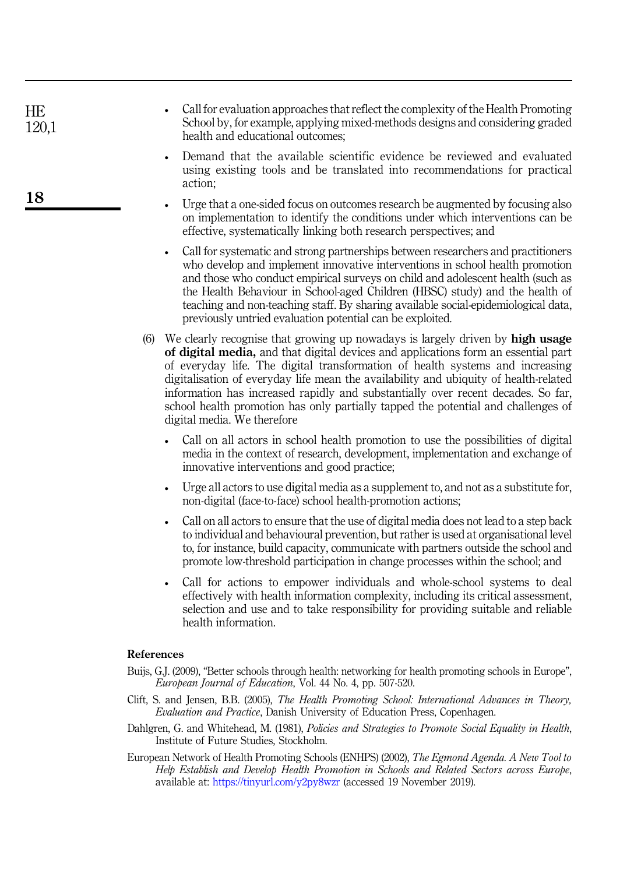| HE<br>120,1 | • Call for evaluation approaches that reflect the complexity of the Health Promoting<br>School by, for example, applying mixed-methods designs and considering graded<br>health and educational outcomes; |
|-------------|-----------------------------------------------------------------------------------------------------------------------------------------------------------------------------------------------------------|
|             | Demand that the available scientific evidence be reviewed and evaluated<br>using existing tools and be translated into recommendations for practical<br>action;                                           |
|             | المحالم متكتب والمحالة والمقتصد ومستحيظ والمتحدد ومحافظ والمحافظ والمحارب والمحافظ والمحافظ والمحالف والمحالف                                                                                             |

- Urge that a one-sided focus on outcomes research be augmented by focusing also on implementation to identify the conditions under which interventions can be effective, systematically linking both research perspectives; and
- Call for systematic and strong partnerships between researchers and practitioners who develop and implement innovative interventions in school health promotion and those who conduct empirical surveys on child and adolescent health (such as the Health Behaviour in School-aged Children (HBSC) study) and the health of teaching and non-teaching staff. By sharing available social-epidemiological data, previously untried evaluation potential can be exploited.
- (6) We clearly recognise that growing up nowadays is largely driven by high usage of digital media, and that digital devices and applications form an essential part of everyday life. The digital transformation of health systems and increasing digitalisation of everyday life mean the availability and ubiquity of health-related information has increased rapidly and substantially over recent decades. So far, school health promotion has only partially tapped the potential and challenges of digital media. We therefore
	- Call on all actors in school health promotion to use the possibilities of digital media in the context of research, development, implementation and exchange of innovative interventions and good practice;
	- Urge all actors to use digital media as a supplement to, and not as a substitute for, non-digital (face-to-face) school health-promotion actions;
	- Call on all actors to ensure that the use of digital media does not lead to a step back to individual and behavioural prevention, but rather is used at organisational level to, for instance, build capacity, communicate with partners outside the school and promote low-threshold participation in change processes within the school; and
	- Call for actions to empower individuals and whole-school systems to deal effectively with health information complexity, including its critical assessment, selection and use and to take responsibility for providing suitable and reliable health information.

#### References

- <span id="page-8-2"></span>Buijs, G.J. (2009), "Better schools through health: networking for health promoting schools in Europe", European Journal of Education, Vol. 44 No. 4, pp. 507-520.
- <span id="page-8-0"></span>Clift, S. and Jensen, B.B. (2005), The Health Promoting School: International Advances in Theory, Evaluation and Practice, Danish University of Education Press, Copenhagen.
- <span id="page-8-1"></span>Dahlgren, G. and Whitehead, M. (1981), Policies and Strategies to Promote Social Equality in Health, Institute of Future Studies, Stockholm.
- <span id="page-8-3"></span>European Network of Health Promoting Schools (ENHPS) (2002), The Egmond Agenda. A New Tool to Help Establish and Develop Health Promotion in Schools and Related Sectors across Europe, available at: <https://tinyurl.com/y2py8wzr> (accessed 19 November 2019).